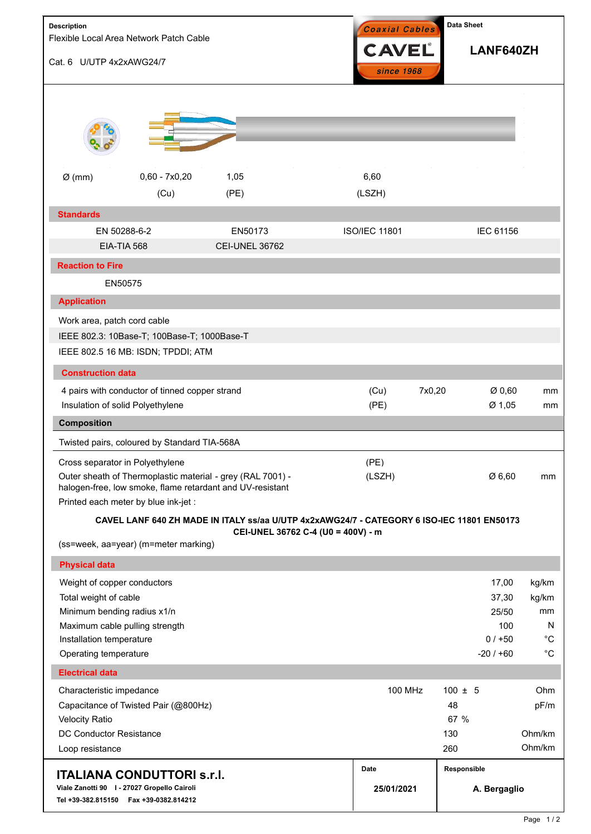| <b>Description</b>                                                                                                                       |                                                                                                                                                                                                    |                                                                                            |                    | <b>Data Sheet</b><br>Coaxial Cables |                             |                                                       |                                                         |
|------------------------------------------------------------------------------------------------------------------------------------------|----------------------------------------------------------------------------------------------------------------------------------------------------------------------------------------------------|--------------------------------------------------------------------------------------------|--------------------|-------------------------------------|-----------------------------|-------------------------------------------------------|---------------------------------------------------------|
| Flexible Local Area Network Patch Cable<br>Cat. 6 U/UTP 4x2xAWG24/7                                                                      |                                                                                                                                                                                                    |                                                                                            |                    | <b>CAVEL</b><br>since 1968          |                             | LANF640ZH                                             |                                                         |
|                                                                                                                                          |                                                                                                                                                                                                    |                                                                                            |                    |                                     |                             |                                                       |                                                         |
| $Ø$ (mm)                                                                                                                                 | $0,60 - 7x0,20$<br>(Cu)                                                                                                                                                                            | 1,05<br>(PE)                                                                               |                    | 6,60<br>(LSZH)                      |                             |                                                       |                                                         |
| <b>Standards</b>                                                                                                                         |                                                                                                                                                                                                    |                                                                                            |                    |                                     |                             |                                                       |                                                         |
|                                                                                                                                          | EN 50288-6-2<br>EIA-TIA 568                                                                                                                                                                        | EN50173<br><b>CEI-UNEL 36762</b>                                                           |                    | <b>ISO/IEC 11801</b>                |                             | IEC 61156                                             |                                                         |
| <b>Reaction to Fire</b>                                                                                                                  |                                                                                                                                                                                                    |                                                                                            |                    |                                     |                             |                                                       |                                                         |
|                                                                                                                                          | EN50575                                                                                                                                                                                            |                                                                                            |                    |                                     |                             |                                                       |                                                         |
| <b>Application</b>                                                                                                                       |                                                                                                                                                                                                    |                                                                                            |                    |                                     |                             |                                                       |                                                         |
| Work area, patch cord cable                                                                                                              | IEEE 802.3: 10Base-T; 100Base-T; 1000Base-T<br>IEEE 802.5 16 MB: ISDN; TPDDI; ATM                                                                                                                  |                                                                                            |                    |                                     |                             |                                                       |                                                         |
| <b>Construction data</b>                                                                                                                 |                                                                                                                                                                                                    |                                                                                            |                    |                                     |                             |                                                       |                                                         |
|                                                                                                                                          | 4 pairs with conductor of tinned copper strand<br>Insulation of solid Polyethylene                                                                                                                 |                                                                                            |                    | (Cu)<br>(PE)                        | 7x0,20                      | Ø0,60<br>Ø 1,05                                       | mm<br>mm                                                |
| <b>Composition</b>                                                                                                                       |                                                                                                                                                                                                    |                                                                                            |                    |                                     |                             |                                                       |                                                         |
|                                                                                                                                          | Twisted pairs, coloured by Standard TIA-568A                                                                                                                                                       |                                                                                            |                    |                                     |                             |                                                       |                                                         |
|                                                                                                                                          | Cross separator in Polyethylene<br>Outer sheath of Thermoplastic material - grey (RAL 7001) -<br>halogen-free, low smoke, flame retardant and UV-resistant<br>Printed each meter by blue ink-jet : |                                                                                            |                    | (PE)<br>(LSZH)                      |                             | Ø 6,60                                                | mm                                                      |
|                                                                                                                                          |                                                                                                                                                                                                    | CAVEL LANF 640 ZH MADE IN ITALY ss/aa U/UTP 4x2xAWG24/7 - CATEGORY 6 ISO-IEC 11801 EN50173 |                    |                                     |                             |                                                       |                                                         |
|                                                                                                                                          | (ss=week, aa=year) (m=meter marking)                                                                                                                                                               | CEI-UNEL 36762 C-4 (U0 = 400V) - m                                                         |                    |                                     |                             |                                                       |                                                         |
| <b>Physical data</b>                                                                                                                     |                                                                                                                                                                                                    |                                                                                            |                    |                                     |                             |                                                       |                                                         |
| Weight of copper conductors<br>Total weight of cable<br>Minimum bending radius x1/n<br>Installation temperature<br>Operating temperature | Maximum cable pulling strength                                                                                                                                                                     |                                                                                            |                    |                                     |                             | 17,00<br>37,30<br>25/50<br>100<br>$0/+50$<br>$-20/60$ | kg/km<br>kg/km<br>mm<br>N<br>$^{\circ}C$<br>$^{\circ}C$ |
| <b>Electrical data</b>                                                                                                                   |                                                                                                                                                                                                    |                                                                                            |                    |                                     |                             |                                                       |                                                         |
| Characteristic impedance<br><b>Velocity Ratio</b><br><b>DC Conductor Resistance</b><br>Loop resistance                                   | Capacitance of Twisted Pair (@800Hz)                                                                                                                                                               |                                                                                            |                    | <b>100 MHz</b>                      | 48<br>130<br>260            | $100 \pm 5$<br>67 %                                   | Ohm<br>pF/m<br>Ohm/km<br>Ohm/km                         |
| <b>ITALIANA CONDUTTORI S.r.I.</b><br>Viale Zanotti 90   - 27027 Gropello Cairoli<br>Tel +39-382.815150    Fax +39-0382.814212            |                                                                                                                                                                                                    |                                                                                            | Date<br>25/01/2021 |                                     | Responsible<br>A. Bergaglio |                                                       |                                                         |